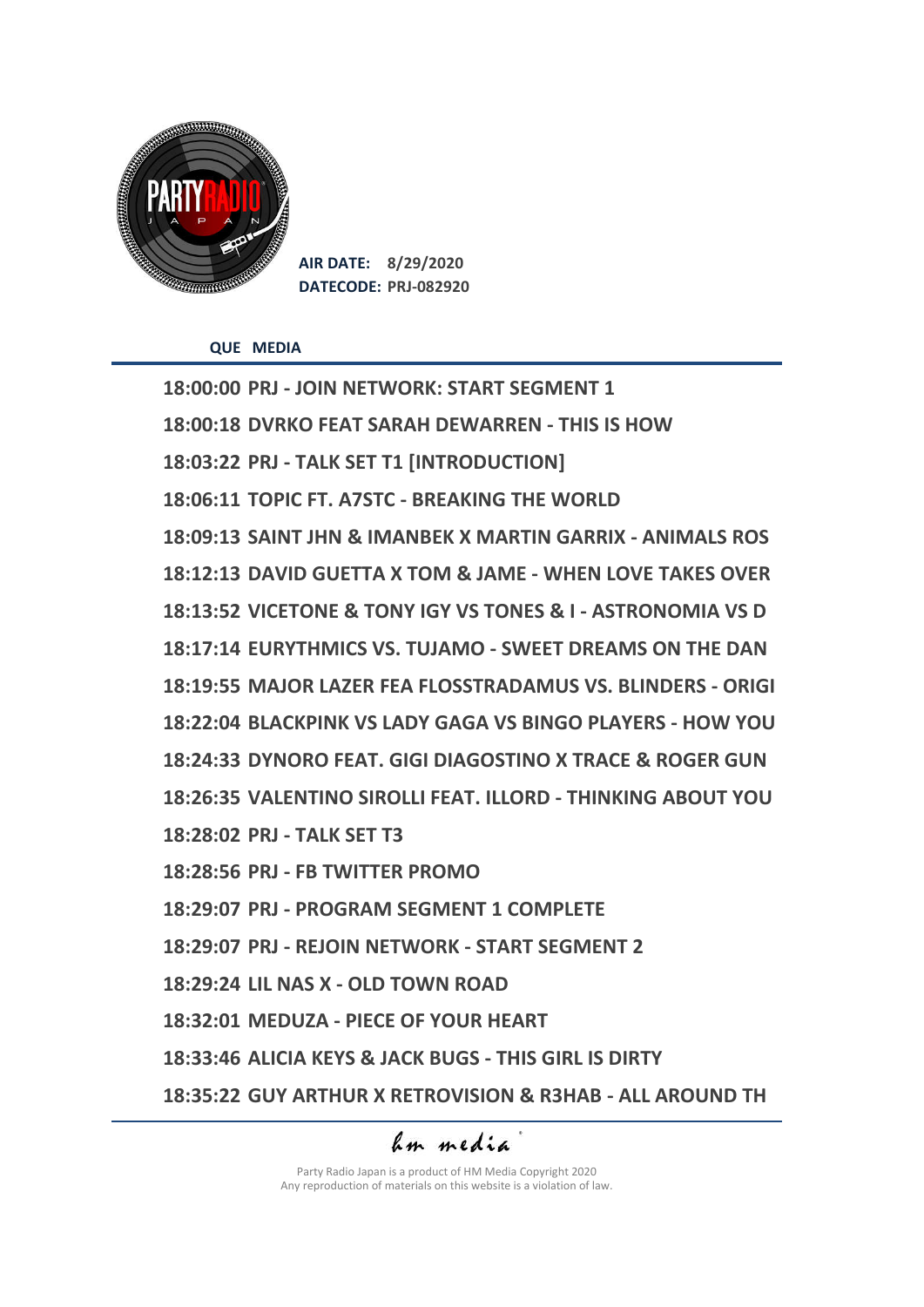

**AIR DATE: 8/29/2020 DATECODE: PRJ-082920**

**QUE MEDIA**

**18:00:00 PRJ - JOIN NETWORK: START SEGMENT 1 18:00:18 DVRKO FEAT SARAH DEWARREN - THIS IS HOW 18:03:22 PRJ - TALK SET T1 [INTRODUCTION] 18:06:11 TOPIC FT. A7STC - BREAKING THE WORLD 18:09:13 SAINT JHN & IMANBEK X MARTIN GARRIX - ANIMALS ROS 18:12:13 DAVID GUETTA X TOM & JAME - WHEN LOVE TAKES OVER 18:13:52 VICETONE & TONY IGY VS TONES & I - ASTRONOMIA VS D 18:17:14 EURYTHMICS VS. TUJAMO - SWEET DREAMS ON THE DAN 18:19:55 MAJOR LAZER FEA FLOSSTRADAMUS VS. BLINDERS - ORIGI 18:22:04 BLACKPINK VS LADY GAGA VS BINGO PLAYERS - HOW YOU 18:24:33 DYNORO FEAT. GIGI DIAGOSTINO X TRACE & ROGER GUN 18:26:35 VALENTINO SIROLLI FEAT. ILLORD - THINKING ABOUT YOU 18:28:02 PRJ - TALK SET T3 18:28:56 PRJ - FB TWITTER PROMO 18:29:07 PRJ - PROGRAM SEGMENT 1 COMPLETE 18:29:07 PRJ - REJOIN NETWORK - START SEGMENT 2 18:29:24 LIL NAS X - OLD TOWN ROAD 18:32:01 MEDUZA - PIECE OF YOUR HEART 18:33:46 ALICIA KEYS & JACK BUGS - THIS GIRL IS DIRTY 18:35:22 GUY ARTHUR X RETROVISION & R3HAB - ALL AROUND TH**

## am media